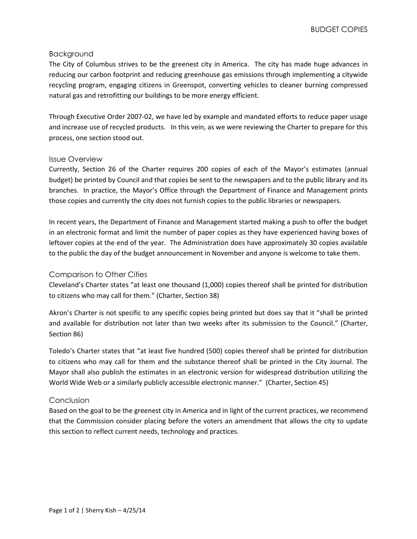### Background

The City of Columbus strives to be the greenest city in America. The city has made huge advances in reducing our carbon footprint and reducing greenhouse gas emissions through implementing a citywide recycling program, engaging citizens in Greenspot, converting vehicles to cleaner burning compressed natural gas and retrofitting our buildings to be more energy efficient.

Through Executive Order 2007-02, we have led by example and mandated efforts to reduce paper usage and increase use of recycled products. In this vein, as we were reviewing the Charter to prepare for this process, one section stood out.

#### Issue Overview

Currently, Section 26 of the Charter requires 200 copies of each of the Mayor's estimates (annual budget) be printed by Council and that copies be sent to the newspapers and to the public library and its branches. In practice, the Mayor's Office through the Department of Finance and Management prints those copies and currently the city does not furnish copies to the public libraries or newspapers.

In recent years, the Department of Finance and Management started making a push to offer the budget in an electronic format and limit the number of paper copies as they have experienced having boxes of leftover copies at the end of the year. The Administration does have approximately 30 copies available to the public the day of the budget announcement in November and anyone is welcome to take them.

#### Comparison to Other Cities

Cleveland's Charter states "at least one thousand (1,000) copies thereof shall be printed for distribution to citizens who may call for them." (Charter, Section 38)

Akron's Charter is not specific to any specific copies being printed but does say that it "shall be printed and available for distribution not later than two weeks after its submission to the Council." (Charter, Section 86)

Toledo's Charter states that "at least five hundred (500) copies thereof shall be printed for distribution to citizens who may call for them and the substance thereof shall be printed in the City Journal. The Mayor shall also publish the estimates in an electronic version for widespread distribution utilizing the World Wide Web or a similarly publicly accessible electronic manner." (Charter, Section 45)

#### Conclusion

Based on the goal to be the greenest city in America and in light of the current practices, we recommend that the Commission consider placing before the voters an amendment that allows the city to update this section to reflect current needs, technology and practices.